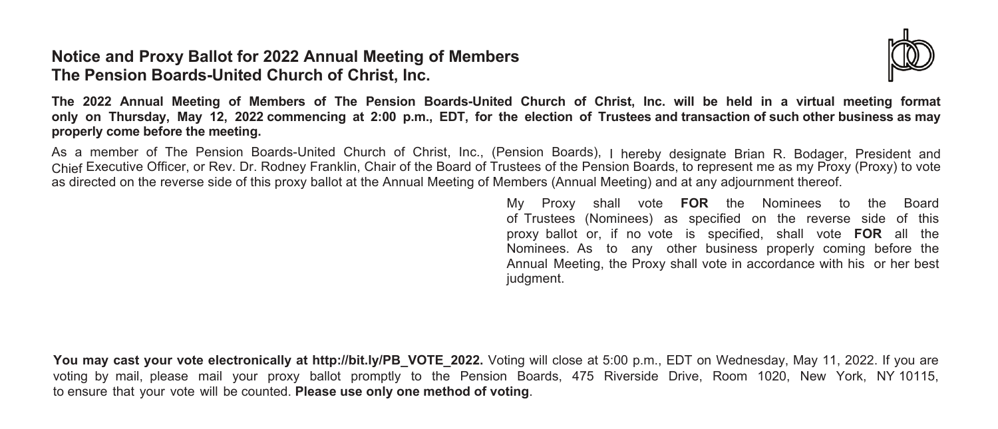### **Notice and Proxy Ballot for 2022 Annual Meeting of Members The Pension Boards-United Church of Christ, Inc.**



The 2022 Annual Meeting of Members of The Pension Boards-United Church of Christ, Inc. will be held in a virtual meeting format only on Thursday, May 12, 2022 commencing at 2:00 p.m., EDT, for the election of Trustees and transaction of such other business as may **properly come before the meeting.**

As a member of The Pension Boards-United Church of Christ, Inc., (Pension Boards), I hereby designate Brian R. Bodager, President and Chief Executive Officer, or Rev. Dr. Rodney Franklin, Chair of the Board of Trustees of the Pension Boards, to represent me as my Proxy (Proxy) to vote as directed on the reverse side of this proxy ballot at the Annual Meeting of Members (Annual Meeting) and at any adjournment thereof.

> My Proxy shall vote **FOR** the Nominees to the Board of Trustees (Nominees) as specified on the reverse side of this proxy ballot or, if no vote is specified, shall vote **FOR** all the Nominees. As to any other business properly coming before the Annual Meeting, the Proxy shall vote in accordance with his or her best judgment.

You may cast your vote electronically at http://bit.ly/PB\_VOTE\_2022. Voting will close at 5:00 p.m., EDT on Wednesday, May 11, 2022. If you are voting by mail, please mail your proxy ballot promptly to the Pension Boards, 475 Riverside Drive, Room 1020, New York, NY 10115, to ensure that your vote will be counted. **Please use only one method of voting**.